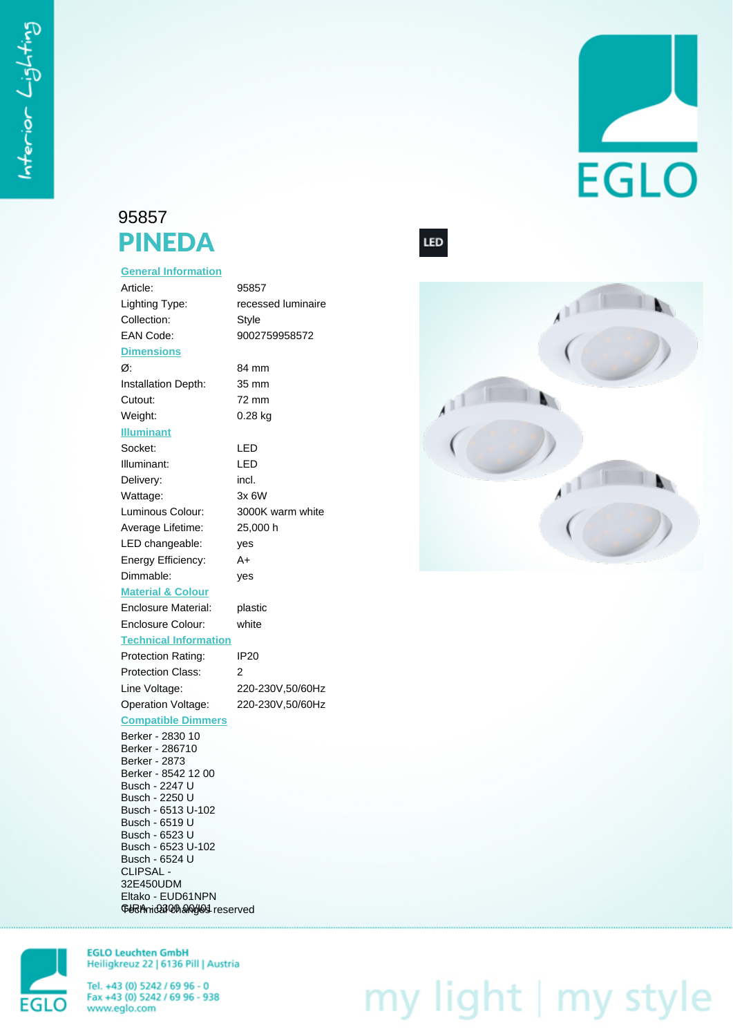## 95857 PINEDA

## **General Information**

| Article:                             | 95857              |
|--------------------------------------|--------------------|
| Lighting Type:                       | recessed luminaire |
| Collection:                          | <b>Style</b>       |
| <b>EAN Code:</b>                     | 9002759958572      |
| <b>Dimensions</b>                    |                    |
| Ø:                                   | 84 mm              |
| <b>Installation Depth:</b>           | 35 mm              |
| Cutout:                              | 72 mm              |
| Weight:                              | 0.28 kg            |
| <b>Illuminant</b>                    |                    |
| Socket:                              | LED                |
| Illuminant:                          | LED                |
| Delivery:                            | incl.              |
| Wattage:                             | 3x 6W              |
| Luminous Colour:                     | 3000K warm white   |
| Average Lifetime:                    | 25,000 h           |
| LED changeable:                      | yes                |
| Energy Efficiency:                   | A+                 |
| Dimmable:                            | yes                |
| <b>Material &amp; Colour</b>         |                    |
| <b>Enclosure Material:</b>           | plastic            |
| <b>Enclosure Colour:</b>             | white              |
| <b>Technical Information</b>         |                    |
| Protection Rating:                   | <b>IP20</b>        |
| <b>Protection Class:</b>             | 2                  |
| Line Voltage:                        | 220-230V,50/60Hz   |
| Operation Voltage:                   | 220-230V,50/60Hz   |
| <b>Compatible Dimmers</b>            |                    |
| Berker - 2830 10<br>Berker - 286710  |                    |
| Berker - 2873<br>Berker - 8542 12 00 |                    |
| Busch - 2247 U                       |                    |
| Busch - 2250 U                       |                    |
| Busch - 6513 U-102                   |                    |
| Busch - 6519 U<br>Busch - 6523 U     |                    |
| Busch - 6523 U-102                   |                    |
| Busch - 6524 U                       |                    |

LED



EGLO

**EGLO** 

**EGLO Leuchten GmbH** Heiligkreuz 22 | 6136 Pill | Austria

Tel. +43 (0) 5242 / 69 96 - 0<br>Fax +43 (0) 5242 / 69 96 - 938 www.eglo.com

CLIPSAL - 32E450UDM Eltako - EUD61NPN GBRA hida 300 and of 93 reserved

## my light | my style